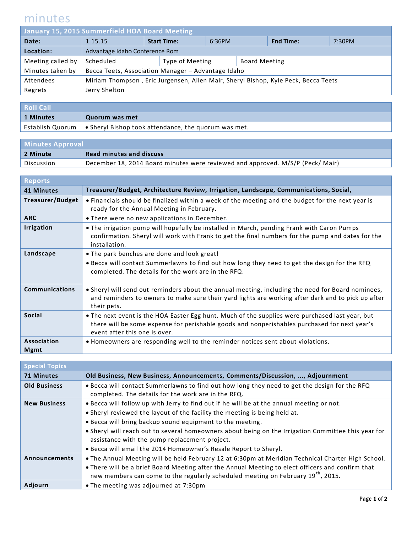## minutes

| January 15, 2015 Summerfield HOA Board Meeting |                                                                                    |                    |                 |        |                      |                  |        |
|------------------------------------------------|------------------------------------------------------------------------------------|--------------------|-----------------|--------|----------------------|------------------|--------|
| Date:                                          | 1.15.15                                                                            | <b>Start Time:</b> |                 | 6:36PM |                      | <b>End Time:</b> | 7:30PM |
| Location:                                      | Advantage Idaho Conference Rom                                                     |                    |                 |        |                      |                  |        |
| Meeting called by                              | Scheduled                                                                          |                    | Type of Meeting |        | <b>Board Meeting</b> |                  |        |
| Minutes taken by                               | Becca Teets, Association Manager - Advantage Idaho                                 |                    |                 |        |                      |                  |        |
| Attendees                                      | Miriam Thompson, Eric Jurgensen, Allen Mair, Sheryl Bishop, Kyle Peck, Becca Teets |                    |                 |        |                      |                  |        |
| Regrets                                        | Jerry Shelton                                                                      |                    |                 |        |                      |                  |        |
|                                                |                                                                                    |                    |                 |        |                      |                  |        |

| <b>Roll Call</b> |                                                                                            |
|------------------|--------------------------------------------------------------------------------------------|
| 1 Minutes        | Quorum was met                                                                             |
|                  | Establish Quorum $\mathsf{I}$ $\bullet$ Sheryl Bishop took attendance, the quorum was met. |

| <b>Minutes Approval</b> |                                                                                |  |
|-------------------------|--------------------------------------------------------------------------------|--|
| 2 Minute                | <b>Read minutes and discuss</b>                                                |  |
| Discussion              | December 18, 2014 Board minutes were reviewed and approved. M/S/P (Peck/ Mair) |  |

| <b>Reports</b>             |                                                                                                                                                                                                                                  |
|----------------------------|----------------------------------------------------------------------------------------------------------------------------------------------------------------------------------------------------------------------------------|
| 41 Minutes                 | Treasurer/Budget, Architecture Review, Irrigation, Landscape, Communications, Social,                                                                                                                                            |
| <b>Treasurer/Budget</b>    | • Financials should be finalized within a week of the meeting and the budget for the next year is<br>ready for the Annual Meeting in February.                                                                                   |
| <b>ARC</b>                 | • There were no new applications in December.                                                                                                                                                                                    |
| <b>Irrigation</b>          | . The irrigation pump will hopefully be installed in March, pending Frank with Caron Pumps<br>confirmation. Sheryl will work with Frank to get the final numbers for the pump and dates for the<br>installation.                 |
| Landscape                  | • The park benches are done and look great!<br>. Becca will contact Summerlawns to find out how long they need to get the design for the RFQ<br>completed. The details for the work are in the RFQ.                              |
| <b>Communications</b>      | • Sheryl will send out reminders about the annual meeting, including the need for Board nominees,<br>and reminders to owners to make sure their yard lights are working after dark and to pick up after<br>their pets.           |
| <b>Social</b>              | . The next event is the HOA Easter Egg hunt. Much of the supplies were purchased last year, but<br>there will be some expense for perishable goods and nonperishables purchased for next year's<br>event after this one is over. |
| Association<br><b>Mgmt</b> | . Homeowners are responding well to the reminder notices sent about violations.                                                                                                                                                  |

| <b>Special Topics</b> |                                                                                                                                                                                                   |
|-----------------------|---------------------------------------------------------------------------------------------------------------------------------------------------------------------------------------------------|
| <b>71 Minutes</b>     | Old Business, New Business, Announcements, Comments/Discussion, , Adjournment                                                                                                                     |
| <b>Old Business</b>   | . Becca will contact Summerlawns to find out how long they need to get the design for the RFQ<br>completed. The details for the work are in the RFQ.                                              |
| <b>New Business</b>   | . Becca will follow up with Jerry to find out if he will be at the annual meeting or not.                                                                                                         |
|                       | • Sheryl reviewed the layout of the facility the meeting is being held at.                                                                                                                        |
|                       | . Becca will bring backup sound equipment to the meeting.                                                                                                                                         |
|                       | . Sheryl will reach out to several homeowners about being on the Irrigation Committee this year for<br>assistance with the pump replacement project.                                              |
|                       | • Becca will email the 2014 Homeowner's Resale Report to Sheryl.                                                                                                                                  |
| <b>Announcements</b>  | . The Annual Meeting will be held February 12 at 6:30pm at Meridian Technical Charter High School.                                                                                                |
|                       | . There will be a brief Board Meeting after the Annual Meeting to elect officers and confirm that<br>new members can come to the regularly scheduled meeting on February 19 <sup>th</sup> , 2015. |
| Adjourn               | • The meeting was adjourned at 7:30pm                                                                                                                                                             |